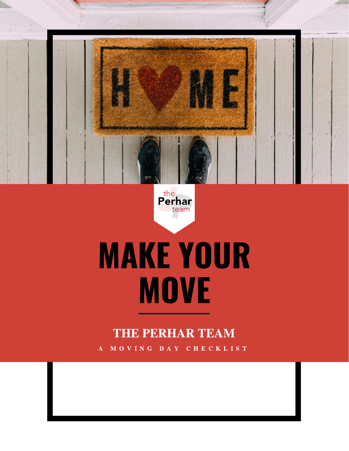

the<br>**Perhar** team

# **MAKE YOUR MOVE**

#### THE PERHAR TEAM

A M O V I N G D A Y C H E C K L I S T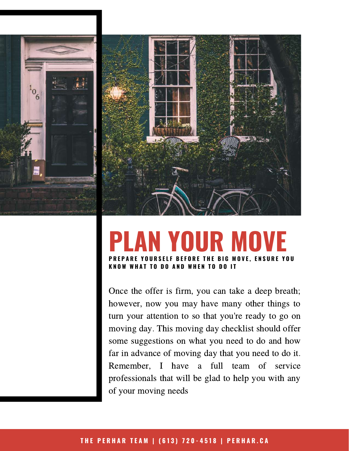



#### **PLAN YOUR MOVE** YOURSELF BEFORE THE BIG MOVE. ENSURE YOU **K N O W W H A T T O D O A N D W H E N T O D O I T**

Once the offer is firm, you can take a deep breath; however, now you may have many other things to turn your attention to so that you're ready to go on moving day. This moving day checklist should offer some suggestions on what you need to do and how far in advance of moving day that you need to do it. Remember, I have a full team of service professionals that will be glad to help you with any of your moving needs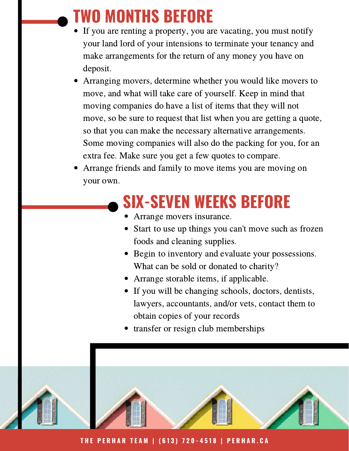## **TWO MONTHS BEFORE**

- If you are renting a property, you are vacating, you must notify your land lord of your intensions to terminate your tenancy and make arrangements for the return of any money you have on deposit.
- Arranging movers, determine whether you would like movers to move, and what will take care of yourself. Keep in mind that moving companies do have a list of items that they will not move, so be sure to request that list when you are getting a quote, so that you can make the necessary alternative arrangements. Some moving companies will also do the packing for you, for an extra fee. Make sure you get a few quotes to compare.
- Arrange friends and family to move items you are moving on your own.

#### **SIX-SEVEN WEEKS BEFORE**

- Arrange movers insurance.
- Start to use up things you can't move such as frozen foods and cleaning supplies.
- Begin to inventory and evaluate your possessions. What can be sold or donated to charity?
- Arrange storable items, if applicable.
- If you will be changing schools, doctors, dentists, lawyers, accountants, and/or vets, contact them to obtain copies of your records
- transfer or resign club memberships



THE PERHAR TEAM | (613) 720-4518 | PERHAR.CA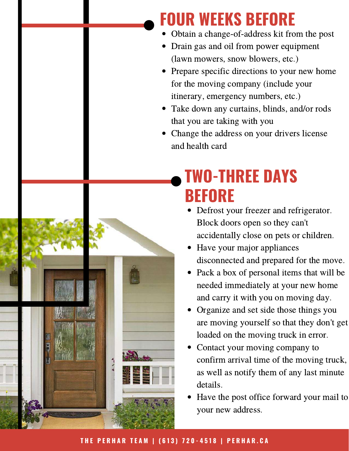#### **FOUR WEEKS BEFORE**

- Obtain a change-of-address kit from the post
- Drain gas and oil from power equipment (lawn mowers, snow blowers, etc.)
- Prepare specific directions to your new home for the moving company (include your itinerary, emergency numbers, etc.)
- Take down any curtains, blinds, and/or rods that you are taking with you
- Change the address on your drivers license and health card

## **TWO-THREE DAYS BEFORE**

- Defrost your freezer and refrigerator. Block doors open so they can't accidentally close on pets or children.
- Have your major appliances disconnected and prepared for the move.
- Pack a box of personal items that will be needed immediately at your new home and carry it with you on moving day.
- Organize and set side those things you are moving yourself so that they don't get loaded on the moving truck in error.
- Contact your moving company to confirm arrival time of the moving truck, as well as notify them of any last minute details.
- Have the post office forward your mail to your new address.

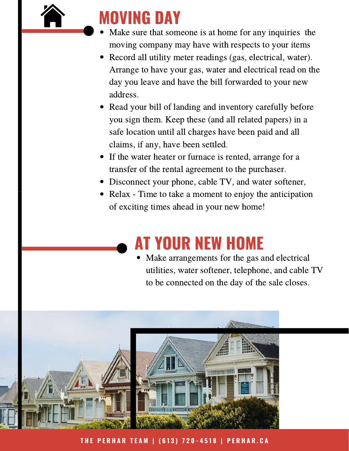

- Make sure that someone is at home for any inquiries the moving company may have with respects to your items
- Record all utility meter readings (gas, electrical, water). Arrange to have your gas, water and electrical read on the day you leave and have the bill forwarded to your new address.
- Read your bill of landing and inventory carefully before you sign them. Keep these (and all related papers) in a safe location until all charges have been paid and all claims, if any, have been settled.
- If the water heater or furnace is rented, arrange for a transfer of the rental agreement to the purchaser.
- Disconnect your phone, cable TV, and water softener,
- Relax Time to take a moment to enjoy the anticipation of exciting times ahead in your new home!

### **AT YOUR NEW HOME**

Make arrangements for the gas and electrical utilities, water softener, telephone, and cable TV to be connected on the day of the sale closes.



THE PERHAR TEAM | (613) 720-4518 | PERHAR.CA